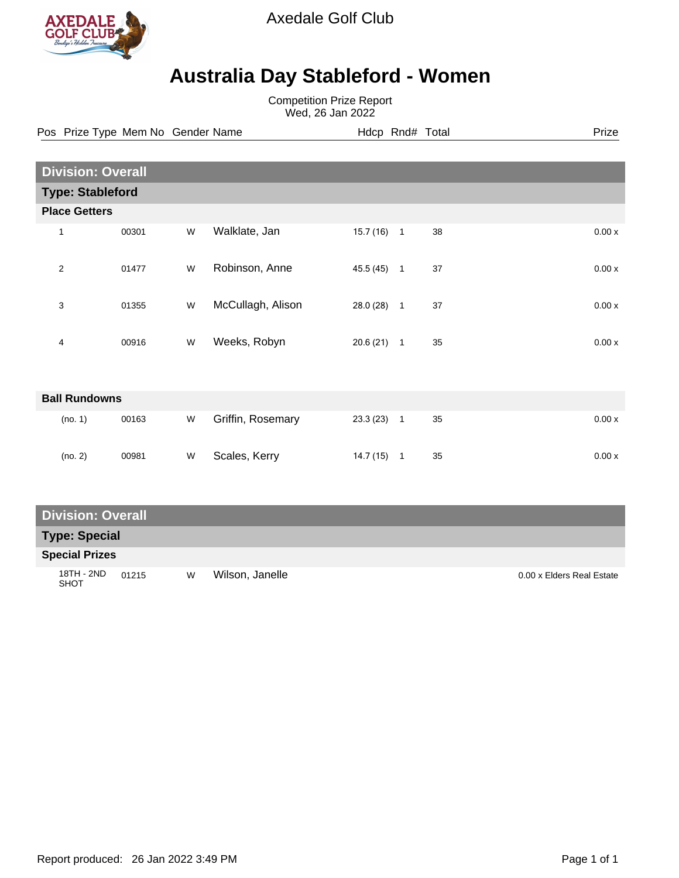

Axedale Golf Club

## **Australia Day Stableford - Women**

Competition Prize Report Wed, 26 Jan 2022

Pos Prize Type Mem No Gender Name **Hdcp Rnd# Total** Prize Prize

| <b>Division: Overall</b> |                         |       |   |                   |           |              |    |       |  |  |
|--------------------------|-------------------------|-------|---|-------------------|-----------|--------------|----|-------|--|--|
|                          | <b>Type: Stableford</b> |       |   |                   |           |              |    |       |  |  |
|                          | <b>Place Getters</b>    |       |   |                   |           |              |    |       |  |  |
| 1                        |                         | 00301 | W | Walklate, Jan     | 15.7(16)  | $\mathbf{1}$ | 38 | 0.00x |  |  |
| $\overline{2}$           |                         | 01477 | W | Robinson, Anne    | 45.5 (45) | $\mathbf{1}$ | 37 | 0.00x |  |  |
| 3                        |                         | 01355 | W | McCullagh, Alison | 28.0 (28) | $\mathbf{1}$ | 37 | 0.00x |  |  |
| 4                        |                         | 00916 | W | Weeks, Robyn      | 20.6(21)  | $\mathbf{1}$ | 35 | 0.00x |  |  |
|                          |                         |       |   |                   |           |              |    |       |  |  |
| <b>Ball Rundowns</b>     |                         |       |   |                   |           |              |    |       |  |  |
|                          | (no. 1)                 | 00163 | W | Griffin, Rosemary | 23.3(23)  | $\mathbf{1}$ | 35 | 0.00x |  |  |

(no. 2) 00981 W Scales, Kerry 14.7 (15) 1 35 0.00 x

### **Division: Overall**

#### **Type: Special**

#### **Special Prizes**

18TH - 2ND 01215 SHOT W Wilson, Janelle 2000 x Elders Real Estate